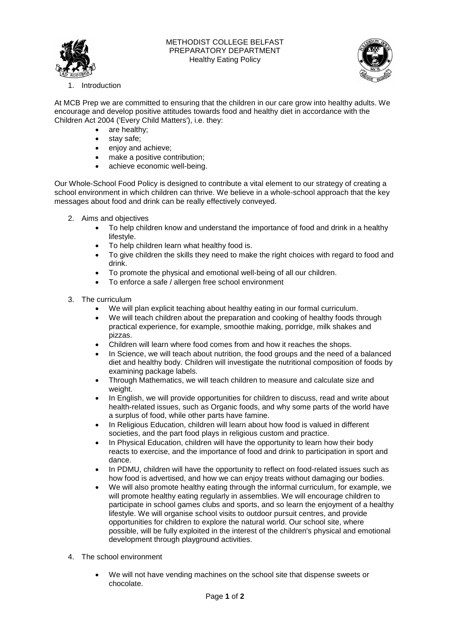

## METHODIST COLLEGE BELFAST PREPARATORY DEPARTMENT Healthy Eating Policy



**Introduction** 

At MCB Prep we are committed to ensuring that the children in our care grow into healthy adults. We encourage and develop positive attitudes towards food and healthy diet in accordance with the Children Act 2004 ('Every Child Matters'), i.e. they:

- are healthy;
- stay safe;
- **e** enjoy and achieve;
- make a positive contribution;
- achieve economic well-being.

Our Whole-School Food Policy is designed to contribute a vital element to our strategy of creating a school environment in which children can thrive. We believe in a whole-school approach that the key messages about food and drink can be really effectively conveyed.

- 2. Aims and objectives
	- To help children know and understand the importance of food and drink in a healthy lifestyle.
	- To help children learn what healthy food is.
	- To give children the skills they need to make the right choices with regard to food and drink.
	- To promote the physical and emotional well-being of all our children.
	- To enforce a safe / allergen free school environment
- 3. The curriculum
	- We will plan explicit teaching about healthy eating in our formal curriculum.
	- We will teach children about the preparation and cooking of healthy foods through practical experience, for example, smoothie making, porridge, milk shakes and pizzas.
	- Children will learn where food comes from and how it reaches the shops.
	- In Science, we will teach about nutrition, the food groups and the need of a balanced diet and healthy body. Children will investigate the nutritional composition of foods by examining package labels.
	- Through Mathematics, we will teach children to measure and calculate size and weight.
	- In English, we will provide opportunities for children to discuss, read and write about health-related issues, such as Organic foods, and why some parts of the world have a surplus of food, while other parts have famine.
	- In Religious Education, children will learn about how food is valued in different societies, and the part food plays in religious custom and practice.
	- In Physical Education, children will have the opportunity to learn how their body reacts to exercise, and the importance of food and drink to participation in sport and dance.
	- In PDMU, children will have the opportunity to reflect on food-related issues such as how food is advertised, and how we can enjoy treats without damaging our bodies.
	- We will also promote healthy eating through the informal curriculum, for example, we will promote healthy eating regularly in assemblies. We will encourage children to participate in school games clubs and sports, and so learn the enjoyment of a healthy lifestyle. We will organise school visits to outdoor pursuit centres, and provide opportunities for children to explore the natural world. Our school site, where possible, will be fully exploited in the interest of the children's physical and emotional development through playground activities.
- 4. The school environment
	- We will not have vending machines on the school site that dispense sweets or chocolate.